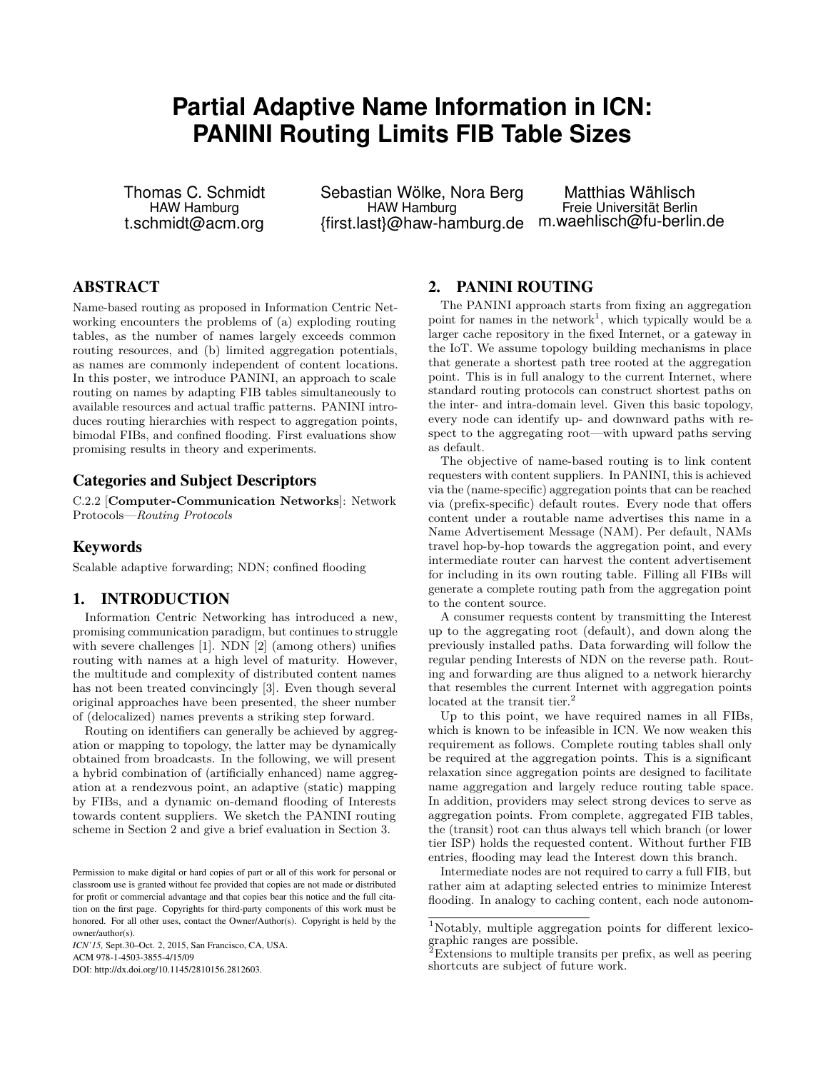# **Partial Adaptive Name Information in ICN: PANINI Routing Limits FIB Table Sizes**

Thomas C. Schmidt HAW Hamburg t.schmidt@acm.org

Sebastian Wölke, Nora Berg HAW Hamburg {first.last}@haw-hamburg.de

Matthias Wählisch Freie Universität Berlin m.waehlisch@fu-berlin.de

# ABSTRACT

Name-based routing as proposed in Information Centric Networking encounters the problems of (a) exploding routing tables, as the number of names largely exceeds common routing resources, and (b) limited aggregation potentials, as names are commonly independent of content locations. In this poster, we introduce PANINI, an approach to scale routing on names by adapting FIB tables simultaneously to available resources and actual traffic patterns. PANINI introduces routing hierarchies with respect to aggregation points, bimodal FIBs, and confined flooding. First evaluations show promising results in theory and experiments.

#### Categories and Subject Descriptors

C.2.2 [**Computer-Communication Networks**]: Network Protocols—*Routing Protocols*

## Keywords

Scalable adaptive forwarding; NDN; confined flooding

#### 1. INTRODUCTION

Information Centric Networking has introduced a new, promising communication paradigm, but continues to struggle with severe challenges [\[1\]](#page-1-0). NDN [\[2\]](#page-1-1) (among others) unifies routing with names at a high level of maturity. However, the multitude and complexity of distributed content names has not been treated convincingly [\[3\]](#page-1-2). Even though several original approaches have been presented, the sheer number of (delocalized) names prevents a striking step forward.

Routing on identifiers can generally be achieved by aggregation or mapping to topology, the latter may be dynamically obtained from broadcasts. In the following, we will present a hybrid combination of (artificially enhanced) name aggregation at a rendezvous point, an adaptive (static) mapping by FIBs, and a dynamic on-demand flooding of Interests towards content suppliers. We sketch the PANINI routing scheme in Section [2](#page-0-0) and give a brief evaluation in Section [3.](#page-1-3)

*ICN'15,* Sept.30–Oct. 2, 2015, San Francisco, CA, USA. ACM 978-1-4503-3855-4/15/09

DOI: http://dx.doi.org/10.1145/2810156.2812603.

## <span id="page-0-0"></span>2. PANINI ROUTING

The PANINI approach starts from fixing an aggregation point for names in the network<sup>[1](#page-0-1)</sup>, which typically would be a larger cache repository in the fixed Internet, or a gateway in the IoT. We assume topology building mechanisms in place that generate a shortest path tree rooted at the aggregation point. This is in full analogy to the current Internet, where standard routing protocols can construct shortest paths on the inter- and intra-domain level. Given this basic topology, every node can identify up- and downward paths with respect to the aggregating root—with upward paths serving as default.

The objective of name-based routing is to link content requesters with content suppliers. In PANINI, this is achieved via the (name-specific) aggregation points that can be reached via (prefix-specific) default routes. Every node that offers content under a routable name advertises this name in a Name Advertisement Message (NAM). Per default, NAMs travel hop-by-hop towards the aggregation point, and every intermediate router can harvest the content advertisement for including in its own routing table. Filling all FIBs will generate a complete routing path from the aggregation point to the content source.

A consumer requests content by transmitting the Interest up to the aggregating root (default), and down along the previously installed paths. Data forwarding will follow the regular pending Interests of NDN on the reverse path. Routing and forwarding are thus aligned to a network hierarchy that resembles the current Internet with aggregation points located at the transit tier.<sup>[2](#page-0-2)</sup>

Up to this point, we have required names in all FIBs, which is known to be infeasible in ICN. We now weaken this requirement as follows. Complete routing tables shall only be required at the aggregation points. This is a significant relaxation since aggregation points are designed to facilitate name aggregation and largely reduce routing table space. In addition, providers may select strong devices to serve as aggregation points. From complete, aggregated FIB tables, the (transit) root can thus always tell which branch (or lower tier ISP) holds the requested content. Without further FIB entries, flooding may lead the Interest down this branch.

Intermediate nodes are not required to carry a full FIB, but rather aim at adapting selected entries to minimize Interest flooding. In analogy to caching content, each node autonom-

Permission to make digital or hard copies of part or all of this work for personal or classroom use is granted without fee provided that copies are not made or distributed for profit or commercial advantage and that copies bear this notice and the full citation on the first page. Copyrights for third-party components of this work must be honored. For all other uses, contact the Owner/Author(s). Copyright is held by the owner/author(s).

<span id="page-0-1"></span><sup>1</sup>Notably, multiple aggregation points for different lexicographic ranges are possible.

<span id="page-0-2"></span> ${}^{2}$ Extensions to multiple transits per prefix, as well as peering shortcuts are subject of future work.